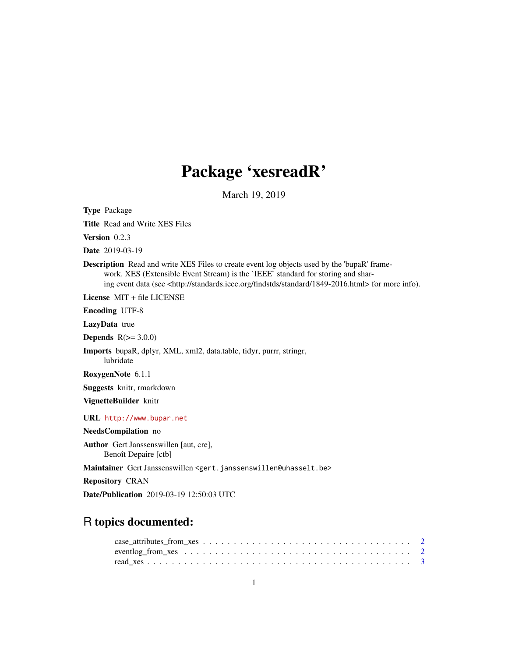## Package 'xesreadR'

March 19, 2019

Type Package Title Read and Write XES Files Version 0.2.3 Date 2019-03-19 Description Read and write XES Files to create event log objects used by the 'bupaR' framework. XES (Extensible Event Stream) is the `IEEE` standard for storing and sharing event data (see <http://standards.ieee.org/findstds/standard/1849-2016.html> for more info). License MIT + file LICENSE Encoding UTF-8 LazyData true Depends  $R(>= 3.0.0)$ Imports bupaR, dplyr, XML, xml2, data.table, tidyr, purrr, stringr, lubridate RoxygenNote 6.1.1 Suggests knitr, rmarkdown VignetteBuilder knitr URL <http://www.bupar.net> NeedsCompilation no Author Gert Janssenswillen [aut, cre], Benoît Depaire [ctb] Maintainer Gert Janssenswillen <gert.janssenswillen@uhasselt.be> Repository CRAN Date/Publication 2019-03-19 12:50:03 UTC

### R topics documented:

| eventlog_from_xes \dots \dots \dots \dots \dots \dots \dots \dots \dots \dots \dots \dots \dots \dots \dots \dots \dots \dots \dots \dots \dots \dots \dots \dots \dots \dots \dots \dots \dots \dots \dots \dots \dots \dots |  |  |  |  |  |  |  |  |  |  |  |  |  |  |  |  |  |  |  |  |
|-------------------------------------------------------------------------------------------------------------------------------------------------------------------------------------------------------------------------------|--|--|--|--|--|--|--|--|--|--|--|--|--|--|--|--|--|--|--|--|
|                                                                                                                                                                                                                               |  |  |  |  |  |  |  |  |  |  |  |  |  |  |  |  |  |  |  |  |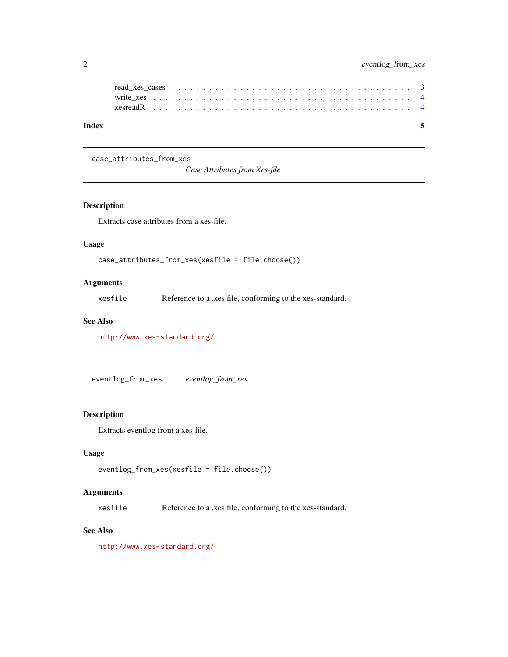<span id="page-1-0"></span>

| Index |  |  |  |  |  |  |  |  |  |  |  |  |  |  |  |  |  |  |
|-------|--|--|--|--|--|--|--|--|--|--|--|--|--|--|--|--|--|--|
|       |  |  |  |  |  |  |  |  |  |  |  |  |  |  |  |  |  |  |
|       |  |  |  |  |  |  |  |  |  |  |  |  |  |  |  |  |  |  |
|       |  |  |  |  |  |  |  |  |  |  |  |  |  |  |  |  |  |  |

case\_attributes\_from\_xes

*Case Attributes from Xes-file*

#### Description

Extracts case attributes from a xes-file.

#### Usage

```
case_attributes_from_xes(xesfile = file.choose())
```
#### Arguments

xesfile Reference to a .xes file, conforming to the xes-standard.

#### See Also

<http://www.xes-standard.org/>

eventlog\_from\_xes *eventlog\_from\_xes*

#### Description

Extracts eventlog from a xes-file.

#### Usage

```
eventlog_from_xes(xesfile = file.choose())
```
#### Arguments

xesfile Reference to a .xes file, conforming to the xes-standard.

#### See Also

<http://www.xes-standard.org/>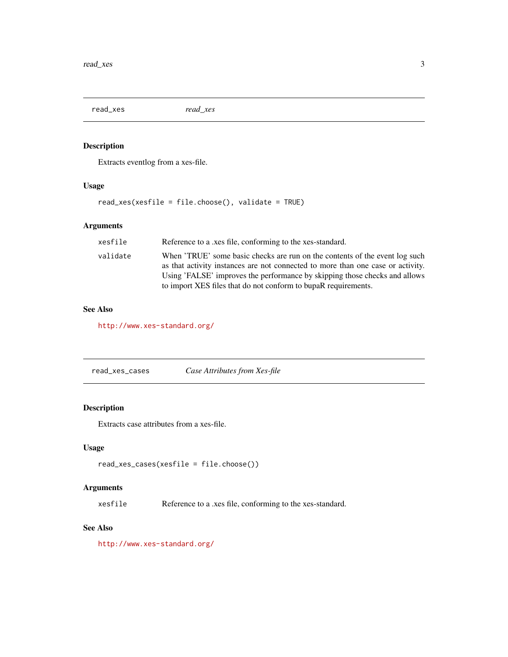<span id="page-2-0"></span>read\_xes *read\_xes*

#### Description

Extracts eventlog from a xes-file.

#### Usage

read\_xes(xesfile = file.choose(), validate = TRUE)

#### Arguments

| xesfile  | Reference to a .xes file, conforming to the xes-standard.                                                                                                                                                                                                                                                      |
|----------|----------------------------------------------------------------------------------------------------------------------------------------------------------------------------------------------------------------------------------------------------------------------------------------------------------------|
| validate | When 'TRUE' some basic checks are run on the contents of the event log such<br>as that activity instances are not connected to more than one case or activity.<br>Using 'FALSE' improves the performance by skipping those checks and allows<br>to import XES files that do not conform to bupaR requirements. |
|          |                                                                                                                                                                                                                                                                                                                |

#### See Also

<http://www.xes-standard.org/>

read\_xes\_cases *Case Attributes from Xes-file*

#### Description

Extracts case attributes from a xes-file.

#### Usage

```
read_xes_cases(xesfile = file.choose())
```
#### Arguments

xesfile Reference to a .xes file, conforming to the xes-standard.

#### See Also

<http://www.xes-standard.org/>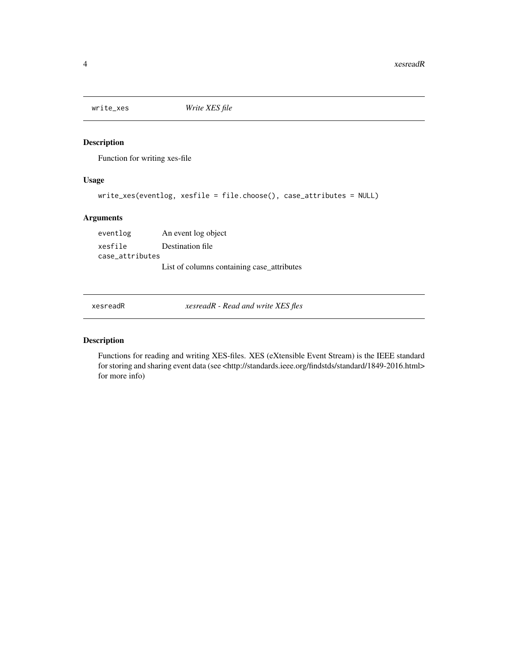<span id="page-3-0"></span>

#### Description

Function for writing xes-file

#### Usage

```
write_xes(eventlog, xesfile = file.choose(), case_attributes = NULL)
```
#### Arguments

eventlog An event log object xesfile Destination file case\_attributes List of columns containing case\_attributes

xesreadR *xesreadR - Read and write XES fles*

#### Description

Functions for reading and writing XES-files. XES (eXtensible Event Stream) is the IEEE standard for storing and sharing event data (see <http://standards.ieee.org/findstds/standard/1849-2016.html> for more info)